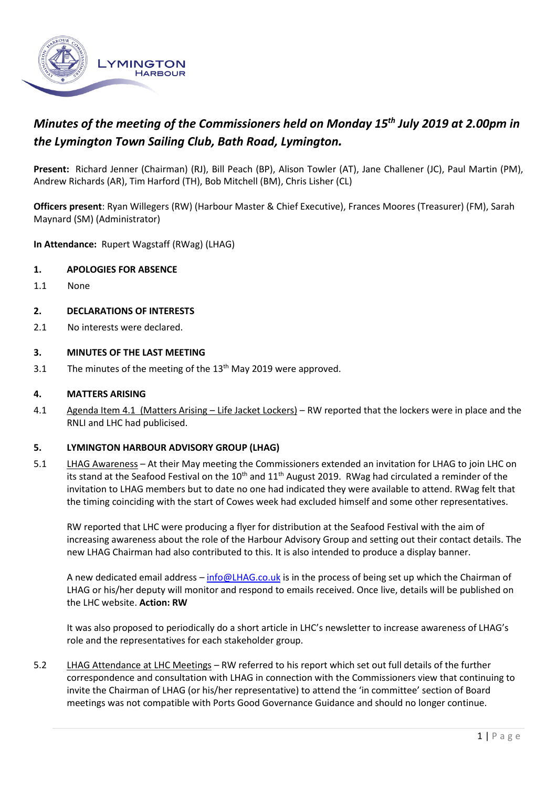

# *Minutes of the meeting of the Commissioners held on Monday 15 th July 2019 at 2.00pm in the Lymington Town Sailing Club, Bath Road, Lymington.*

**Present:** Richard Jenner (Chairman) (RJ), Bill Peach (BP), Alison Towler (AT), Jane Challener (JC), Paul Martin (PM), Andrew Richards (AR), Tim Harford (TH), Bob Mitchell (BM), Chris Lisher (CL)

**Officers present**: Ryan Willegers (RW) (Harbour Master & Chief Executive), Frances Moores (Treasurer) (FM), Sarah Maynard (SM) (Administrator)

**In Attendance:** Rupert Wagstaff (RWag) (LHAG)

#### **1. APOLOGIES FOR ABSENCE**

1.1 None

#### **2. DECLARATIONS OF INTERESTS**

2.1 No interests were declared.

#### **3. MINUTES OF THE LAST MEETING**

3.1 The minutes of the meeting of the  $13<sup>th</sup>$  May 2019 were approved.

#### **4. MATTERS ARISING**

4.1 Agenda Item 4.1 (Matters Arising – Life Jacket Lockers) – RW reported that the lockers were in place and the RNLI and LHC had publicised.

#### **5. LYMINGTON HARBOUR ADVISORY GROUP (LHAG)**

5.1 LHAG Awareness – At their May meeting the Commissioners extended an invitation for LHAG to join LHC on its stand at the Seafood Festival on the 10<sup>th</sup> and 11<sup>th</sup> August 2019. RWag had circulated a reminder of the invitation to LHAG members but to date no one had indicated they were available to attend. RWag felt that the timing coinciding with the start of Cowes week had excluded himself and some other representatives.

RW reported that LHC were producing a flyer for distribution at the Seafood Festival with the aim of increasing awareness about the role of the Harbour Advisory Group and setting out their contact details. The new LHAG Chairman had also contributed to this. It is also intended to produce a display banner.

A new dedicated email address – [info@LHAG.co.uk](mailto:info@LHAG.co.uk) is in the process of being set up which the Chairman of LHAG or his/her deputy will monitor and respond to emails received. Once live, details will be published on the LHC website. **Action: RW**

It was also proposed to periodically do a short article in LHC's newsletter to increase awareness of LHAG's role and the representatives for each stakeholder group.

5.2 LHAG Attendance at LHC Meetings – RW referred to his report which set out full details of the further correspondence and consultation with LHAG in connection with the Commissioners view that continuing to invite the Chairman of LHAG (or his/her representative) to attend the 'in committee' section of Board meetings was not compatible with Ports Good Governance Guidance and should no longer continue.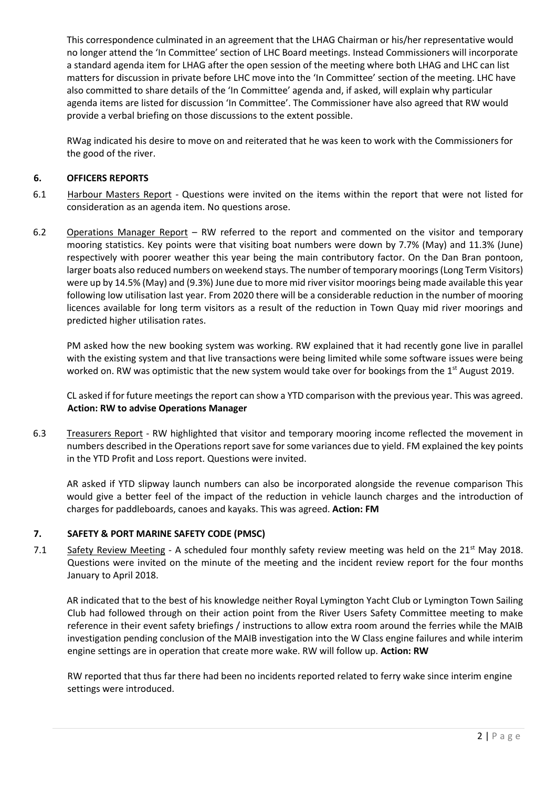This correspondence culminated in an agreement that the LHAG Chairman or his/her representative would no longer attend the 'In Committee' section of LHC Board meetings. Instead Commissioners will incorporate a standard agenda item for LHAG after the open session of the meeting where both LHAG and LHC can list matters for discussion in private before LHC move into the 'In Committee' section of the meeting. LHC have also committed to share details of the 'In Committee' agenda and, if asked, will explain why particular agenda items are listed for discussion 'In Committee'. The Commissioner have also agreed that RW would provide a verbal briefing on those discussions to the extent possible.

RWag indicated his desire to move on and reiterated that he was keen to work with the Commissioners for the good of the river.

## **6. OFFICERS REPORTS**

- 6.1 Harbour Masters Report Questions were invited on the items within the report that were not listed for consideration as an agenda item. No questions arose.
- 6.2 Operations Manager Report RW referred to the report and commented on the visitor and temporary mooring statistics. Key points were that visiting boat numbers were down by 7.7% (May) and 11.3% (June) respectively with poorer weather this year being the main contributory factor. On the Dan Bran pontoon, larger boats also reduced numbers on weekend stays. The number of temporary moorings (Long Term Visitors) were up by 14.5% (May) and (9.3%) June due to more mid river visitor moorings being made available this year following low utilisation last year. From 2020 there will be a considerable reduction in the number of mooring licences available for long term visitors as a result of the reduction in Town Quay mid river moorings and predicted higher utilisation rates.

PM asked how the new booking system was working. RW explained that it had recently gone live in parallel with the existing system and that live transactions were being limited while some software issues were being worked on. RW was optimistic that the new system would take over for bookings from the 1<sup>st</sup> August 2019.

CL asked if for future meetings the report can show a YTD comparison with the previous year. This was agreed. **Action: RW to advise Operations Manager**

6.3 Treasurers Report - RW highlighted that visitor and temporary mooring income reflected the movement in numbers described in the Operations report save for some variances due to yield. FM explained the key points in the YTD Profit and Loss report. Questions were invited.

AR asked if YTD slipway launch numbers can also be incorporated alongside the revenue comparison This would give a better feel of the impact of the reduction in vehicle launch charges and the introduction of charges for paddleboards, canoes and kayaks. This was agreed. **Action: FM**

## **7. SAFETY & PORT MARINE SAFETY CODE (PMSC)**

7.1 Safety Review Meeting - A scheduled four monthly safety review meeting was held on the 21<sup>st</sup> May 2018. Questions were invited on the minute of the meeting and the incident review report for the four months January to April 2018.

AR indicated that to the best of his knowledge neither Royal Lymington Yacht Club or Lymington Town Sailing Club had followed through on their action point from the River Users Safety Committee meeting to make reference in their event safety briefings / instructions to allow extra room around the ferries while the MAIB investigation pending conclusion of the MAIB investigation into the W Class engine failures and while interim engine settings are in operation that create more wake. RW will follow up. **Action: RW**

RW reported that thus far there had been no incidents reported related to ferry wake since interim engine settings were introduced.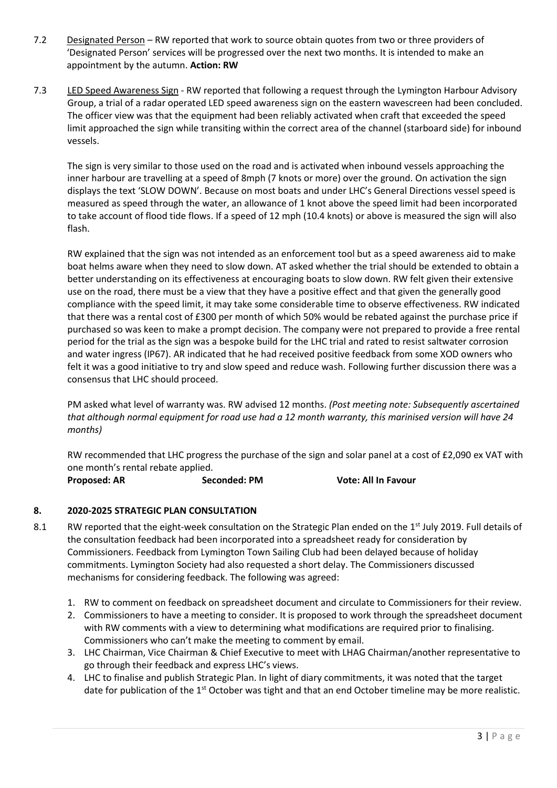- 7.2 Designated Person RW reported that work to source obtain quotes from two or three providers of 'Designated Person' services will be progressed over the next two months. It is intended to make an appointment by the autumn. **Action: RW**
- 7.3 LED Speed Awareness Sign RW reported that following a request through the Lymington Harbour Advisory Group, a trial of a radar operated LED speed awareness sign on the eastern wavescreen had been concluded. The officer view was that the equipment had been reliably activated when craft that exceeded the speed limit approached the sign while transiting within the correct area of the channel (starboard side) for inbound vessels.

The sign is very similar to those used on the road and is activated when inbound vessels approaching the inner harbour are travelling at a speed of 8mph (7 knots or more) over the ground. On activation the sign displays the text 'SLOW DOWN'. Because on most boats and under LHC's General Directions vessel speed is measured as speed through the water, an allowance of 1 knot above the speed limit had been incorporated to take account of flood tide flows. If a speed of 12 mph (10.4 knots) or above is measured the sign will also flash.

RW explained that the sign was not intended as an enforcement tool but as a speed awareness aid to make boat helms aware when they need to slow down. AT asked whether the trial should be extended to obtain a better understanding on its effectiveness at encouraging boats to slow down. RW felt given their extensive use on the road, there must be a view that they have a positive effect and that given the generally good compliance with the speed limit, it may take some considerable time to observe effectiveness. RW indicated that there was a rental cost of £300 per month of which 50% would be rebated against the purchase price if purchased so was keen to make a prompt decision. The company were not prepared to provide a free rental period for the trial as the sign was a bespoke build for the LHC trial and rated to resist saltwater corrosion and water ingress (IP67). AR indicated that he had received positive feedback from some XOD owners who felt it was a good initiative to try and slow speed and reduce wash. Following further discussion there was a consensus that LHC should proceed.

PM asked what level of warranty was. RW advised 12 months. *(Post meeting note: Subsequently ascertained that although normal equipment for road use had a 12 month warranty, this marinised version will have 24 months)*

RW recommended that LHC progress the purchase of the sign and solar panel at a cost of £2,090 ex VAT with one month's rental rebate applied.

**Proposed: AR Seconded: PM Vote: All In Favour**

## **8. 2020-2025 STRATEGIC PLAN CONSULTATION**

- 8.1 RW reported that the eight-week consultation on the Strategic Plan ended on the 1<sup>st</sup> July 2019. Full details of the consultation feedback had been incorporated into a spreadsheet ready for consideration by Commissioners. Feedback from Lymington Town Sailing Club had been delayed because of holiday commitments. Lymington Society had also requested a short delay. The Commissioners discussed mechanisms for considering feedback. The following was agreed:
	- 1. RW to comment on feedback on spreadsheet document and circulate to Commissioners for their review.
	- 2. Commissioners to have a meeting to consider. It is proposed to work through the spreadsheet document with RW comments with a view to determining what modifications are required prior to finalising. Commissioners who can't make the meeting to comment by email.
	- 3. LHC Chairman, Vice Chairman & Chief Executive to meet with LHAG Chairman/another representative to go through their feedback and express LHC's views.
	- 4. LHC to finalise and publish Strategic Plan. In light of diary commitments, it was noted that the target date for publication of the 1<sup>st</sup> October was tight and that an end October timeline may be more realistic.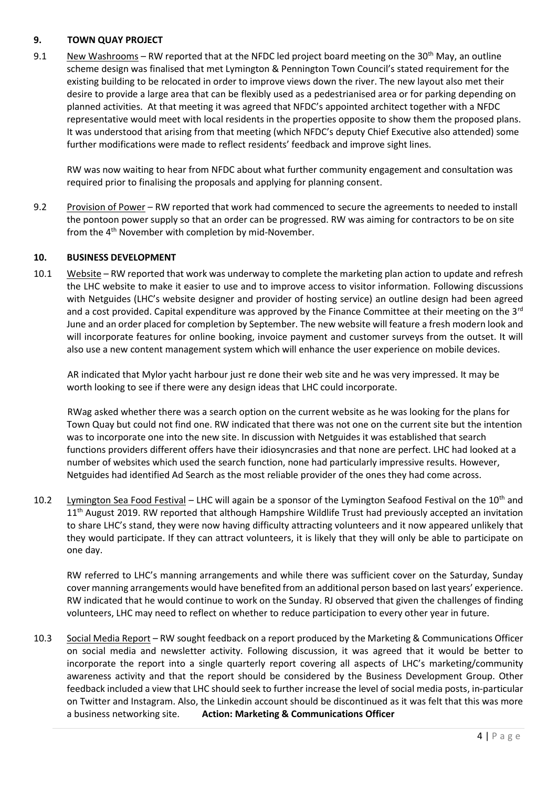### **9. TOWN QUAY PROJECT**

9.1 New Washrooms – RW reported that at the NFDC led project board meeting on the 30<sup>th</sup> May, an outline scheme design was finalised that met Lymington & Pennington Town Council's stated requirement for the existing building to be relocated in order to improve views down the river. The new layout also met their desire to provide a large area that can be flexibly used as a pedestrianised area or for parking depending on planned activities. At that meeting it was agreed that NFDC's appointed architect together with a NFDC representative would meet with local residents in the properties opposite to show them the proposed plans. It was understood that arising from that meeting (which NFDC's deputy Chief Executive also attended) some further modifications were made to reflect residents' feedback and improve sight lines.

RW was now waiting to hear from NFDC about what further community engagement and consultation was required prior to finalising the proposals and applying for planning consent.

9.2 Provision of Power – RW reported that work had commenced to secure the agreements to needed to install the pontoon power supply so that an order can be progressed. RW was aiming for contractors to be on site from the 4<sup>th</sup> November with completion by mid-November.

### **10. BUSINESS DEVELOPMENT**

10.1 Website – RW reported that work was underway to complete the marketing plan action to update and refresh the LHC website to make it easier to use and to improve access to visitor information. Following discussions with Netguides (LHC's website designer and provider of hosting service) an outline design had been agreed and a cost provided. Capital expenditure was approved by the Finance Committee at their meeting on the 3<sup>rd</sup> June and an order placed for completion by September. The new website will feature a fresh modern look and will incorporate features for online booking, invoice payment and customer surveys from the outset. It will also use a new content management system which will enhance the user experience on mobile devices.

AR indicated that Mylor yacht harbour just re done their web site and he was very impressed. It may be worth looking to see if there were any design ideas that LHC could incorporate.

RWag asked whether there was a search option on the current website as he was looking for the plans for Town Quay but could not find one. RW indicated that there was not one on the current site but the intention was to incorporate one into the new site. In discussion with Netguides it was established that search functions providers different offers have their idiosyncrasies and that none are perfect. LHC had looked at a number of websites which used the search function, none had particularly impressive results. However, Netguides had identified Ad Search as the most reliable provider of the ones they had come across.

10.2 Lymington Sea Food Festival – LHC will again be a sponsor of the Lymington Seafood Festival on the 10<sup>th</sup> and 11<sup>th</sup> August 2019. RW reported that although Hampshire Wildlife Trust had previously accepted an invitation to share LHC's stand, they were now having difficulty attracting volunteers and it now appeared unlikely that they would participate. If they can attract volunteers, it is likely that they will only be able to participate on one day.

RW referred to LHC's manning arrangements and while there was sufficient cover on the Saturday, Sunday cover manning arrangements would have benefited from an additional person based on last years' experience. RW indicated that he would continue to work on the Sunday. RJ observed that given the challenges of finding volunteers, LHC may need to reflect on whether to reduce participation to every other year in future.

10.3 Social Media Report – RW sought feedback on a report produced by the Marketing & Communications Officer on social media and newsletter activity. Following discussion, it was agreed that it would be better to incorporate the report into a single quarterly report covering all aspects of LHC's marketing/community awareness activity and that the report should be considered by the Business Development Group. Other feedback included a view that LHC should seek to further increase the level of social media posts, in-particular on Twitter and Instagram. Also, the Linkedin account should be discontinued as it was felt that this was more a business networking site. **Action: Marketing & Communications Officer**